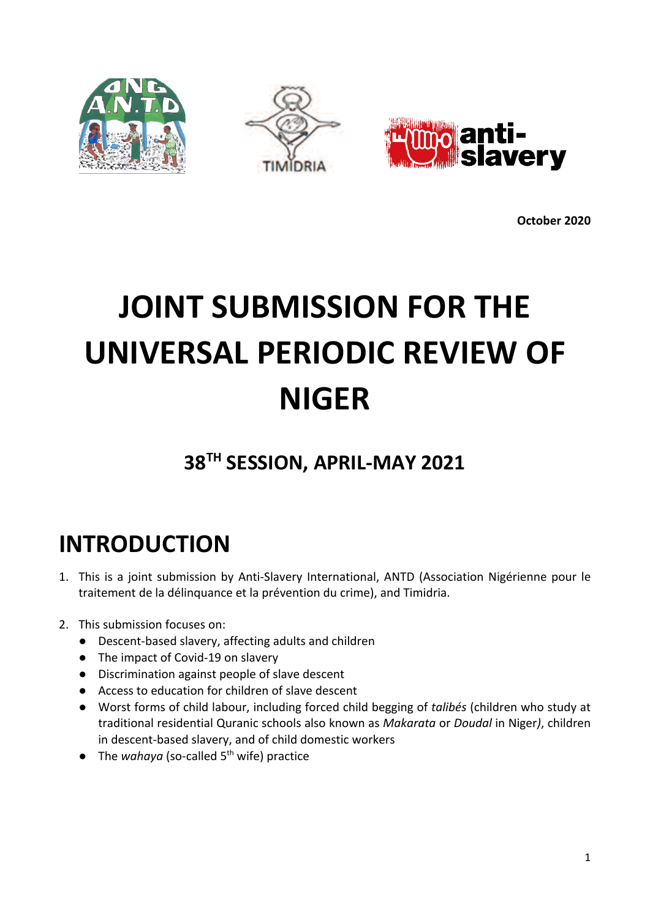

**October 2020**

# **JOINT SUBMISSION FOR THE UNIVERSAL PERIODIC REVIEW OF NIGER**

### **38TH SESSION, APRIL-MAY 2021**

## **INTRODUCTION**

- 1. This is <sup>a</sup> joint submission by Anti-Slavery International, ANTD (Association Nigérienne pour le traitement de la délinquance et la prévention du crime), and Timidria.
- 2. This submission focuses on:
	- Descent-based slavery, affecting adults and children
	- The impact of Covid-19 on slavery
	- Discrimination against people of slave descent
	- Access to education for children of slave descent
	- Worst forms of child labour, including forced child begging of *talibés* (children who study at traditional residential Quranic schools also known as *Makarata* or *Doudal* in Niger*)*, children in descent-based slavery, and of child domestic workers
	- The *wahaya* (so-called 5<sup>th</sup> wife) practice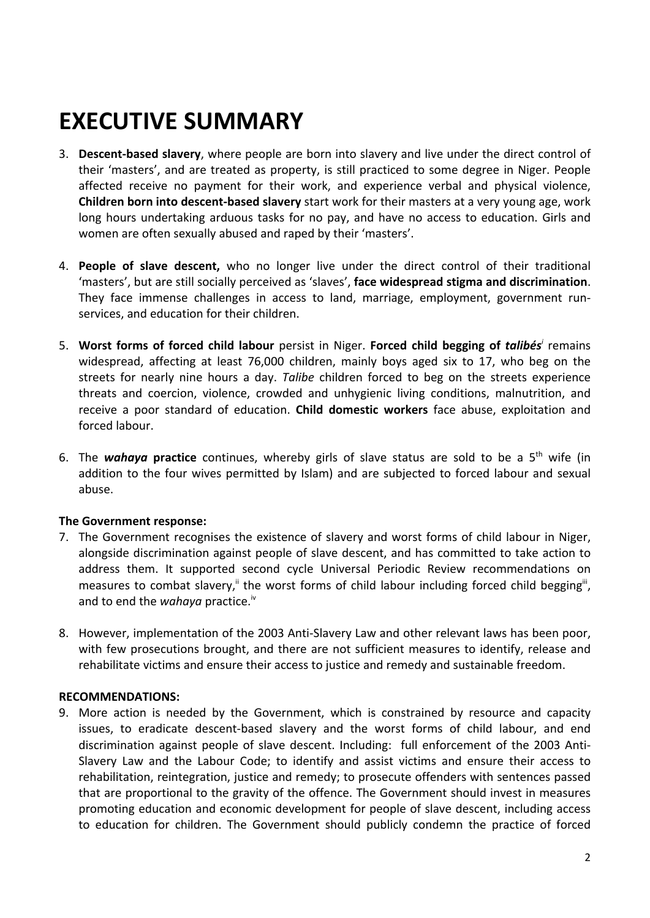## **EXECUTIVE SUMMARY**

- 3. **Descent-based slavery**, where people are born into slavery and live under the direct control of their 'masters', and are treated as property, is still practiced to some degree in Niger. People affected receive no payment for their work, and experience verbal and physical violence, **Children born into descent-based slavery** start work for their masters at <sup>a</sup> very young age, work long hours undertaking arduous tasks for no pay, and have no access to education. Girls and women are often sexually abused and raped by their 'masters'.
- 4. **People of slave descent,** who no longer live under the direct control of their traditional 'masters', but are still socially perceived as 'slaves', **face widespread stigma and discrimination**. They face immense challenges in access to land, marriage, employment, government runservices, and education for their children.
- 5. **Worst forms of forced child labour** persist in Niger. **Forced child begging of** *talibés i* remains widespread, affecting at least 76,000 children, mainly boys aged six to 17, who beg on the streets for nearly nine hours <sup>a</sup> day. *Talibe* children forced to beg on the streets experience threats and coercion, violence, crowded and unhygienic living conditions, malnutrition, and receive <sup>a</sup> poor standard of education. **Child domestic workers** face abuse, exploitation and forced labour.
- 6. The wahaya practice continues, whereby girls of slave status are sold to be a 5<sup>th</sup> wife (in addition to the four wives permitted by Islam) and are subjected to forced labour and sexual abuse.

#### **The Government response:**

- 7. The Government recognises the existence of slavery and worst forms of child labour in Niger, alongside discrimination against people of slave descent, and has committed to take action to address them. It supported second cycle Universal Periodic Review recommendations on measures to combat slavery," the worst forms of child labour including forced child begging"', and to end the *wahaya* practice.<sup>iv</sup>
- 8. However, implementation of the 2003 Anti-Slavery Law and other relevant laws has been poor, with few prosecutions brought, and there are not sufficient measures to identify, release and rehabilitate victims and ensure their access to justice and remedy and sustainable freedom.

#### **RECOMMENDATIONS:**

9. More action is needed by the Government, which is constrained by resource and capacity issues, to eradicate descent-based slavery and the worst forms of child labour, and end discrimination against people of slave descent. Including: full enforcement of the 2003 Anti-Slavery Law and the Labour Code; to identify and assist victims and ensure their access to rehabilitation, reintegration, justice and remedy; to prosecute offenders with sentences passed that are proportional to the gravity of the offence. The Government should invest in measures promoting education and economic development for people of slave descent, including access to education for children. The Government should publicly condemn the practice of forced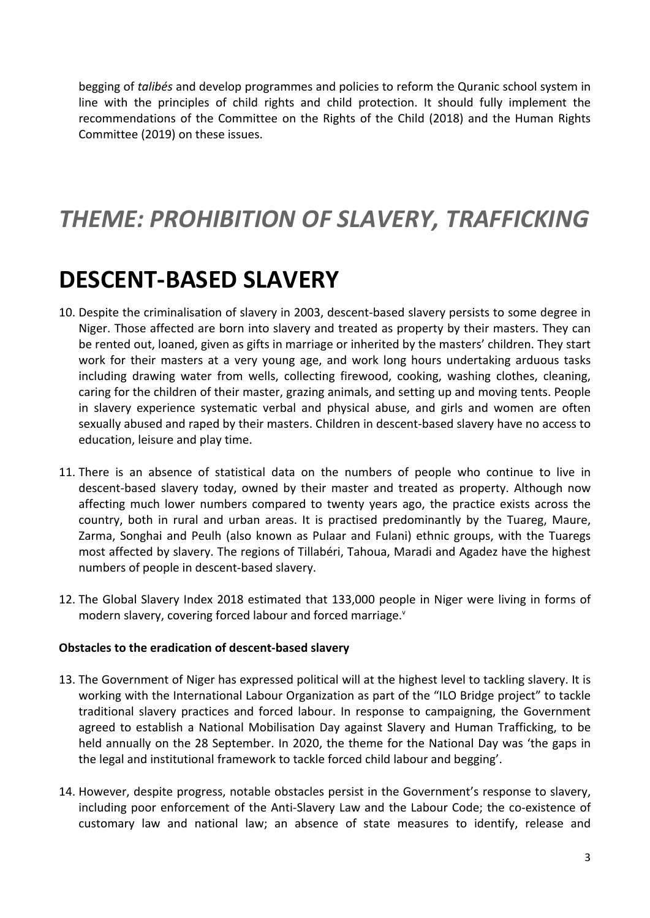begging of *talibés* and develop programmes and policies to reform the Quranic school system in line with the principles of child rights and child protection. It should fully implement the recommendations of the Committee on the Rights of the Child (2018) and the Human Rights Committee (2019) on these issues.

### *THEME: PROHIBITION OF SLAVERY, TRAFFICKING*

## **DESCENT-BASED SLAVERY**

- 10. Despite the criminalisation of slavery in 2003, descent-based slavery persists to some degree in Niger. Those affected are born into slavery and treated as property by their masters. They can be rented out, loaned, given as gifts in marriage or inherited by the masters' children. They start work for their masters at <sup>a</sup> very young age, and work long hours undertaking arduous tasks including drawing water from wells, collecting firewood, cooking, washing clothes, cleaning, caring for the children of their master, grazing animals, and setting up and moving tents. People in slavery experience systematic verbal and physical abuse, and girls and women are often sexually abused and raped by their masters. Children in descent-based slavery have no access to education, leisure and play time.
- 11. There is an absence of statistical data on the numbers of people who continue to live in descent-based slavery today, owned by their master and treated as property. Although now affecting much lower numbers compared to twenty years ago, the practice exists across the country, both in rural and urban areas. It is practised predominantly by the Tuareg, Maure, Zarma, Songhai and Peulh (also known as Pulaar and Fulani) ethnic groups, with the Tuaregs most affected by slavery. The regions of Tillabéri, Tahoua, Maradi and Agadez have the highest numbers of people in descent-based slavery.
- 12. The Global Slavery Index 2018 estimated that 133,000 people in Niger were living in forms of modern slavery, covering forced labour and forced marriage.<sup>v</sup>

#### **Obstacles to the eradication of descent-based slavery**

- 13. The Government of Niger has expressed political will at the highest level to tackling slavery. It is working with the International Labour Organization as part of the "ILO Bridge project" to tackle traditional slavery practices and forced labour. In response to campaigning, the Government agreed to establish <sup>a</sup> National Mobilisation Day against Slavery and Human Trafficking, to be held annually on the 28 September. In 2020, the theme for the National Day was 'the gaps in the legal and institutional framework to tackle forced child labour and begging'.
- 14. However, despite progress, notable obstacles persist in the Government'<sup>s</sup> response to slavery, including poor enforcement of the Anti-Slavery Law and the Labour Code; the co-existence of customary law and national law; an absence of state measures to identify, release and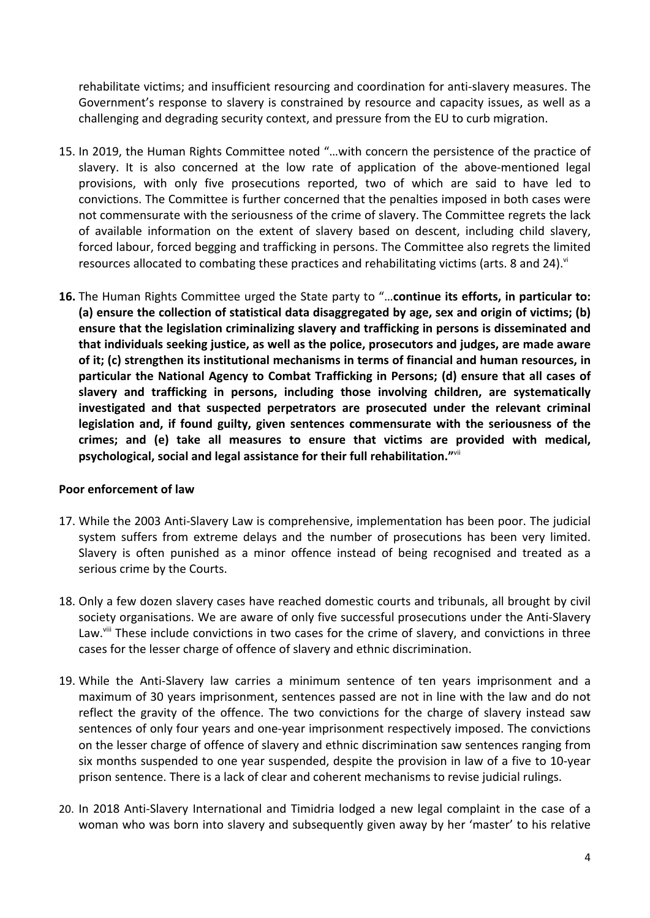rehabilitate victims; and insufficient resourcing and coordination for anti-slavery measures. The Government'<sup>s</sup> response to slavery is constrained by resource and capacity issues, as well as <sup>a</sup> challenging and degrading security context, and pressure from the EU to curb migration.

- 15. In 2019, the Human Rights Committee noted "…with concern the persistence of the practice of slavery. It is also concerned at the low rate of application of the above-mentioned legal provisions, with only five prosecutions reported, two of which are said to have led to convictions. The Committee is further concerned that the penalties imposed in both cases were not commensurate with the seriousness of the crime of slavery. The Committee regrets the lack of available information on the extent of slavery based on descent, including child slavery, forced labour, forced begging and trafficking in persons. The Committee also regrets the limited resources allocated to combating these practices and rehabilitating victims (arts. 8 and 24). $^{\circ}$
- **16.** The Human Rights Committee urged the State party to "…**continue its efforts, in particular to: (a) ensure the collection of statistical data disaggregated by age, sex and origin of victims; (b) ensure that the legislation criminalizing slavery and trafficking in persons is disseminated and that individuals seeking justice, as well as the police, prosecutors and judges, are made aware of it; (c) strengthen its institutional mechanisms in terms of financial and human resources, in particular the National Agency to Combat Trafficking in Persons; (d) ensure that all cases of slavery and trafficking in persons, including those involving children, are systematically investigated and that suspected perpetrators are prosecuted under the relevant criminal legislation and, if found guilty, given sentences commensurate with the seriousness of the crimes; and (e) take all measures to ensure that victims are provided with medical, psychological, social and legal assistance for their full rehabilitation."** vii

#### **Poor enforcement of law**

- 17. While the 2003 Anti-Slavery Law is comprehensive, implementation has been poor. The judicial system suffers from extreme delays and the number of prosecutions has been very limited. Slavery is often punished as <sup>a</sup> minor offence instead of being recognised and treated as <sup>a</sup> serious crime by the Courts.
- 18. Only <sup>a</sup> few dozen slavery cases have reached domestic courts and tribunals, all brought by civil society organisations. We are aware of only five successful prosecutions under the Anti-Slavery Law.'<sup>iii</sup> These include convictions in two cases for the crime of slavery, and convictions in three cases for the lesser charge of offence of slavery and ethnic discrimination.
- 19. While the Anti-Slavery law carries <sup>a</sup> minimum sentence of ten years imprisonment and <sup>a</sup> maximum of 30 years imprisonment, sentences passed are not in line with the law and do not reflect the gravity of the offence. The two convictions for the charge of slavery instead saw sentences of only four years and one-year imprisonment respectively imposed. The convictions on the lesser charge of offence of slavery and ethnic discrimination saw sentences ranging from six months suspended to one year suspended, despite the provision in law of <sup>a</sup> five to 10-year prison sentence. There is <sup>a</sup> lack of clear and coherent mechanisms to revise judicial rulings.
- 20. In 2018 Anti-Slavery International and Timidria lodged <sup>a</sup> new legal complaint in the case of <sup>a</sup> woman who was born into slavery and subsequently given away by her 'master' to his relative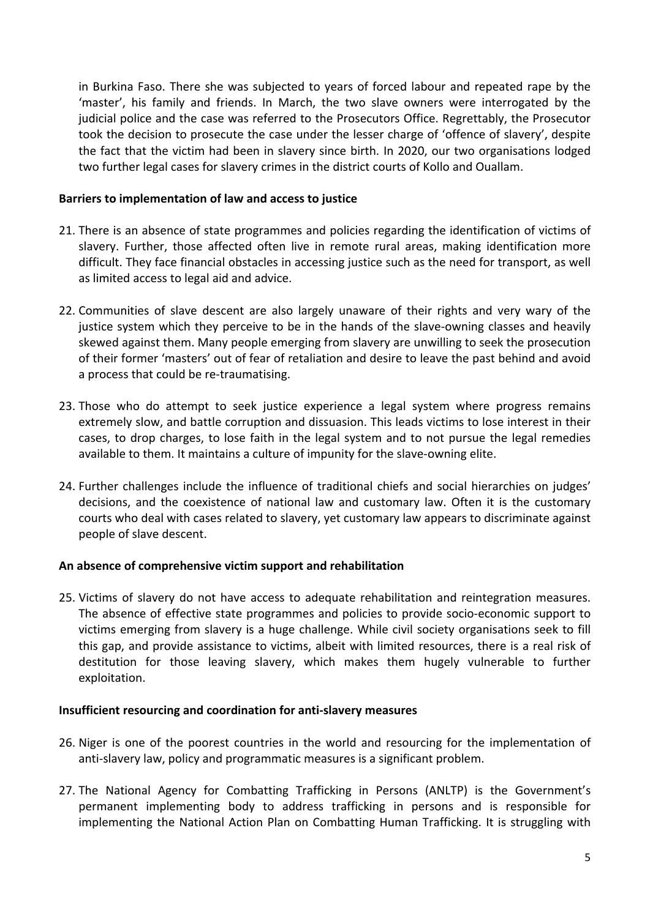in Burkina Faso. There she was subjected to years of forced labour and repeated rape by the 'master', his family and friends. In March, the two slave owners were interrogated by the judicial police and the case was referred to the Prosecutors Office. Regrettably, the Prosecutor took the decision to prosecute the case under the lesser charge of 'offence of slavery', despite the fact that the victim had been in slavery since birth. In 2020, our two organisations lodged two further legal cases for slavery crimes in the district courts of Kollo and Ouallam.

#### **Barriers to implementation of law and access to justice**

- 21. There is an absence of state programmes and policies regarding the identification of victims of slavery. Further, those affected often live in remote rural areas, making identification more difficult. They face financial obstacles in accessing justice such as the need for transport, as well as limited access to legal aid and advice.
- 22. Communities of slave descent are also largely unaware of their rights and very wary of the justice system which they perceive to be in the hands of the slave-owning classes and heavily skewed against them. Many people emerging from slavery are unwilling to seek the prosecution of their former 'masters' out of fear of retaliation and desire to leave the past behind and avoid <sup>a</sup> process that could be re-traumatising.
- 23. Those who do attempt to seek justice experience <sup>a</sup> legal system where progress remains extremely slow, and battle corruption and dissuasion. This leads victims to lose interest in their cases, to drop charges, to lose faith in the legal system and to not pursue the legal remedies available to them. It maintains <sup>a</sup> culture of impunity for the slave-owning elite.
- 24. Further challenges include the influence of traditional chiefs and social hierarchies on judges' decisions, and the coexistence of national law and customary law. Often it is the customary courts who deal with cases related to slavery, yet customary law appears to discriminate against people of slave descent.

#### **An absence of comprehensive victim support and rehabilitation**

25. Victims of slavery do not have access to adequate rehabilitation and reintegration measures. The absence of effective state programmes and policies to provide socio-economic support to victims emerging from slavery is <sup>a</sup> huge challenge. While civil society organisations seek to fill this gap, and provide assistance to victims, albeit with limited resources, there is <sup>a</sup> real risk of destitution for those leaving slavery, which makes them hugely vulnerable to further exploitation.

#### **Insufficient resourcing and coordination for anti-slavery measures**

- 26. Niger is one of the poorest countries in the world and resourcing for the implementation of anti-slavery law, policy and programmatic measures is <sup>a</sup> significant problem.
- 27. The National Agency for Combatting Trafficking in Persons (ANLTP) is the Government'<sup>s</sup> permanent implementing body to address trafficking in persons and is responsible for implementing the National Action Plan on Combatting Human Trafficking. It is struggling with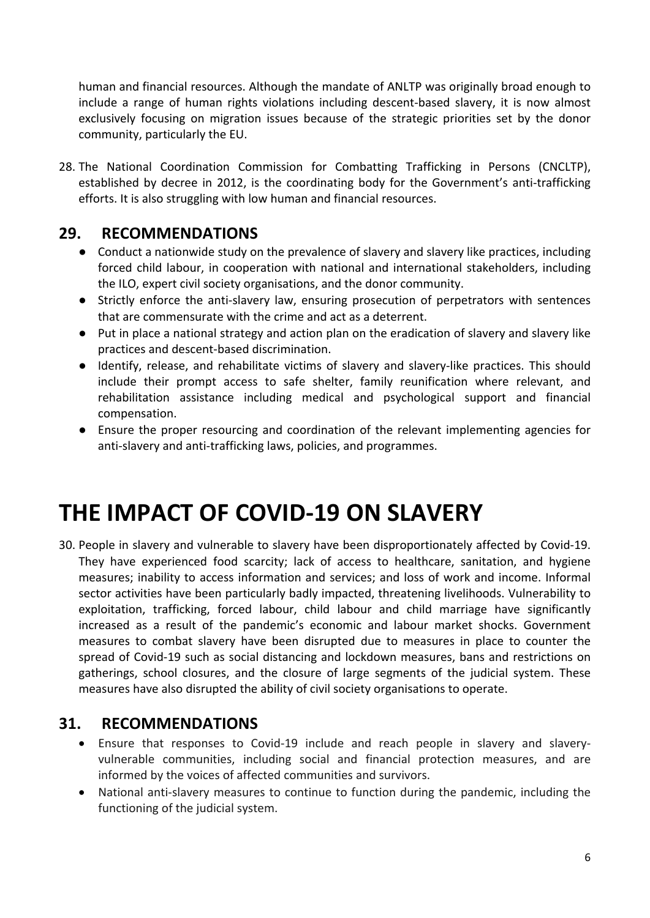human and financial resources. Although the mandate of ANLTP was originally broad enough to include <sup>a</sup> range of human rights violations including descent-based slavery, it is now almost exclusively focusing on migration issues because of the strategic priorities set by the donor community, particularly the EU.

28. The National Coordination Commission for Combatting Trafficking in Persons (CNCLTP), established by decree in 2012, is the coordinating body for the Government'<sup>s</sup> anti-trafficking efforts. It is also struggling with low human and financial resources.

### **29. RECOMMENDATIONS**

- Conduct <sup>a</sup> nationwide study on the prevalence of slavery and slavery like practices, including forced child labour, in cooperation with national and international stakeholders, including the ILO, expert civil society organisations, and the donor community.
- Strictly enforce the anti-slavery law, ensuring prosecution of perpetrators with sentences that are commensurate with the crime and act as a deterrent.
- **●** Put in place <sup>a</sup> national strategy and action plan on the eradication of slavery and slavery like practices and descent-based discrimination.
- Identify, release, and rehabilitate victims of slavery and slavery-like practices. This should include their prompt access to safe shelter, family reunification where relevant, and rehabilitation assistance including medical and psychological support and financial compensation.
- Ensure the proper resourcing and coordination of the relevant implementing agencies for anti-slavery and anti-trafficking laws, policies, and programmes.

## **THE IMPACT OF COVID-19 ON SLAVERY**

30. People in slavery and vulnerable to slavery have been disproportionately affected by Covid-19. They have experienced food scarcity; lack of access to healthcare, sanitation, and hygiene measures; inability to access information and services; and loss of work and income. Informal sector activities have been particularly badly impacted, threatening livelihoods. Vulnerability to exploitation, trafficking, forced labour, child labour and child marriage have significantly increased as <sup>a</sup> result of the pandemic'<sup>s</sup> economic and labour market shocks. Government measures to combat slavery have been disrupted due to measures in place to counter the spread of Covid-19 such as social distancing and lockdown measures, bans and restrictions on gatherings, school closures, and the closure of large segments of the judicial system. These measures have also disrupted the ability of civil society organisations to operate.

### **31. RECOMMENDATIONS**

- Ensure that responses to Covid-19 include and reach people in slavery and slaveryvulnerable communities, including social and financial protection measures, and are informed by the voices of affected communities and survivors.
- National anti-slavery measures to continue to function during the pandemic, including the functioning of the judicial system.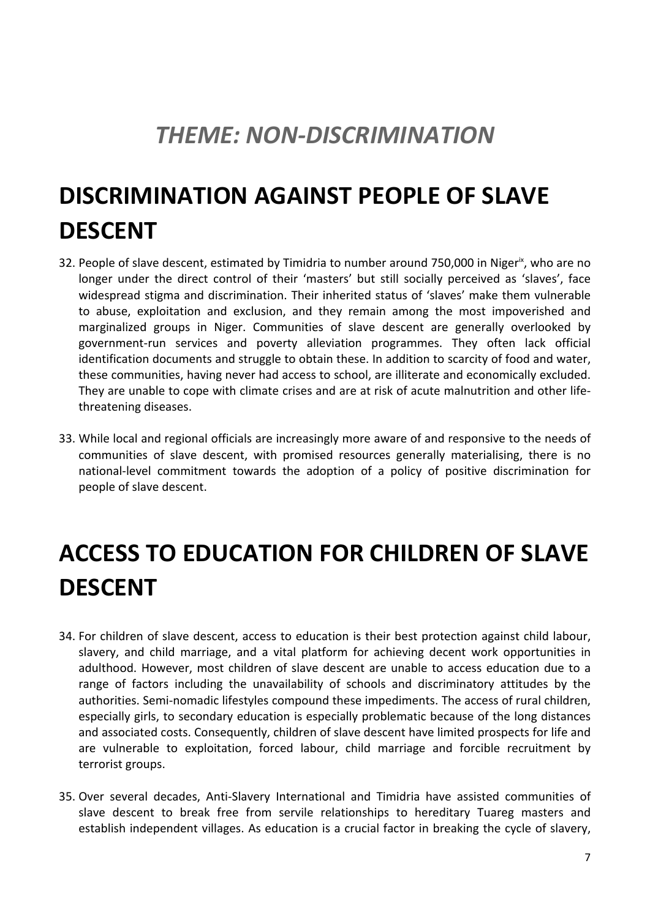## *THEME: NON-DISCRIMINATION*

## **DISCRIMINATION AGAINST PEOPLE OF SLAVE DESCENT**

- 32. People of slave descent, estimated by Timidria to number around 750,000 in Niger<sup>ix</sup>, who are no longer under the direct control of their 'masters' but still socially perceived as 'slaves', face widespread stigma and discrimination. Their inherited status of 'slaves' make them vulnerable to abuse, exploitation and exclusion, and they remain among the most impoverished and marginalized groups in Niger. Communities of slave descent are generally overlooked by government-run services and poverty alleviation programmes. They often lack official identification documents and struggle to obtain these. In addition to scarcity of food and water, these communities, having never had access to school, are illiterate and economically excluded. They are unable to cope with climate crises and are at risk of acute malnutrition and other lifethreatening diseases.
- 33. While local and regional officials are increasingly more aware of and responsive to the needs of communities of slave descent, with promised resources generally materialising, there is no national-level commitment towards the adoption of <sup>a</sup> policy of positive discrimination for people of slave descent.

## **ACCESS TO EDUCATION FOR CHILDREN OF SLAVE DESCENT**

- 34. For children of slave descent, access to education is their best protection against child labour, slavery, and child marriage, and <sup>a</sup> vital platform for achieving decent work opportunities in adulthood. However, most children of slave descent are unable to access education due to <sup>a</sup> range of factors including the unavailability of schools and discriminatory attitudes by the authorities. Semi-nomadic lifestyles compound these impediments. The access of rural children, especially girls, to secondary education is especially problematic because of the long distances and associated costs. Consequently, children of slave descent have limited prospects for life and are vulnerable to exploitation, forced labour, child marriage and forcible recruitment by terrorist groups.
- 35. Over several decades, Anti-Slavery International and Timidria have assisted communities of slave descent to break free from servile relationships to hereditary Tuareg masters and establish independent villages. As education is <sup>a</sup> crucial factor in breaking the cycle of slavery,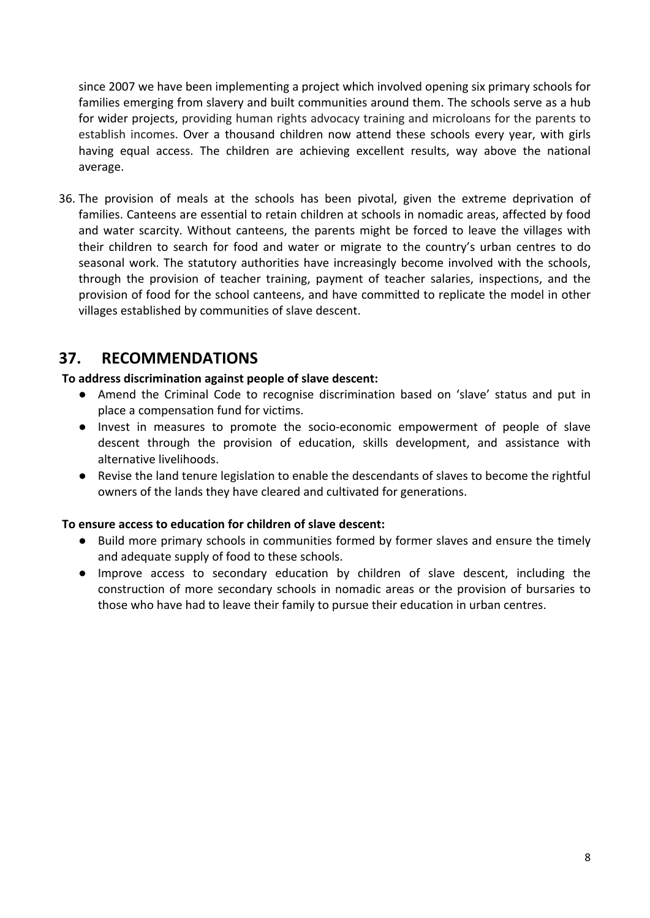since 2007 we have been implementing <sup>a</sup> project which involved opening six primary schools for families emerging from slavery and built communities around them. The schools serve as <sup>a</sup> hub for wider projects, providing human rights advocacy training and microloans for the parents to establish incomes. Over <sup>a</sup> thousand children now attend these schools every year, with girls having equal access. The children are achieving excellent results, way above the national average.

36. The provision of meals at the schools has been pivotal, given the extreme deprivation of families. Canteens are essential to retain children at schools in nomadic areas, affected by food and water scarcity. Without canteens, the parents might be forced to leave the villages with their children to search for food and water or migrate to the country'<sup>s</sup> urban centres to do seasonal work. The statutory authorities have increasingly become involved with the schools, through the provision of teacher training, payment of teacher salaries, inspections, and the provision of food for the school canteens, and have committed to replicate the model in other villages established by communities of slave descent.

### **37. RECOMMENDATIONS**

**To address discrimination against people of slave descent:**

- Amend the Criminal Code to recognise discrimination based on 'slave' status and put in place <sup>a</sup> compensation fund for victims.
- Invest in measures to promote the socio-economic empowerment of people of slave descent through the provision of education, skills development, and assistance with alternative livelihoods.
- Revise the land tenure legislation to enable the descendants of slaves to become the rightful owners of the lands they have cleared and cultivated for generations.

#### **To ensure access to education for children of slave descent:**

- Build more primary schools in communities formed by former slaves and ensure the timely and adequate supply of food to these schools.
- Improve access to secondary education by children of slave descent, including the construction of more secondary schools in nomadic areas or the provision of bursaries to those who have had to leave their family to pursue their education in urban centres.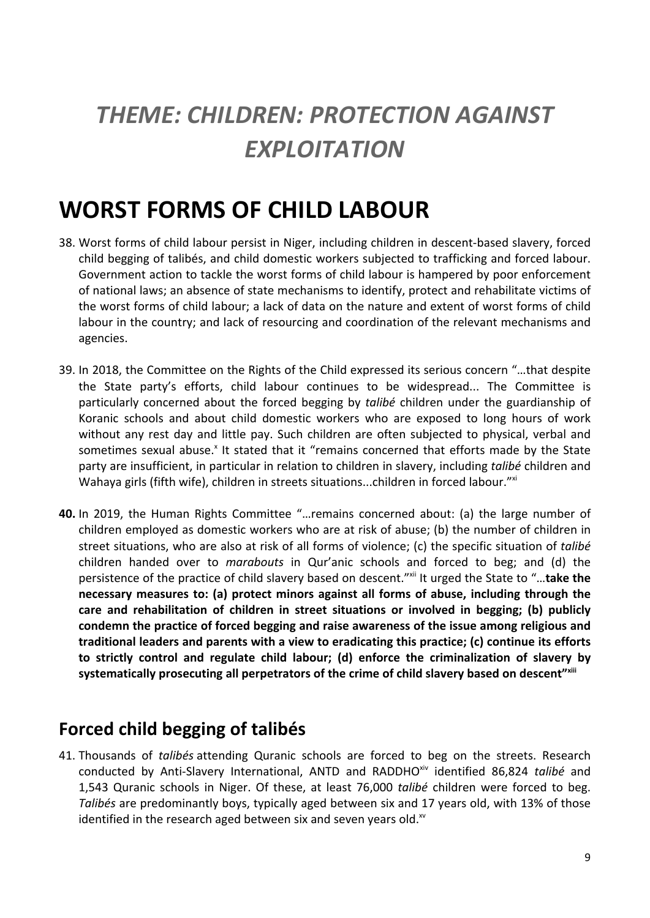## *THEME: CHILDREN: PROTECTION AGAINST EXPLOITATION*

## **WORST FORMS OF CHILD LABOUR**

- 38. Worst forms of child labour persist in Niger, including children in descent-based slavery, forced child begging of talibés, and child domestic workers subjected to trafficking and forced labour. Government action to tackle the worst forms of child labour is hampered by poor enforcement of national laws; an absence of state mechanisms to identify, protect and rehabilitate victims of the worst forms of child labour; <sup>a</sup> lack of data on the nature and extent of worst forms of child labour in the country; and lack of resourcing and coordination of the relevant mechanisms and agencies.
- 39. In 2018, the Committee on the Rights of the Child expressed its serious concern "…that despite the State party'<sup>s</sup> efforts, child labour continues to be widespread... The Committee is particularly concerned about the forced begging by *talibé* children under the guardianship of Koranic schools and about child domestic workers who are exposed to long hours of work without any rest day and little pay. Such children are often subjected to physical, verbal and sometimes sexual abuse.<sup>x</sup> It stated that it "remains concerned that efforts made by the State party are insufficient, in particular in relation to children in slavery, including *talibé* children and Wahaya girls (fifth wife), children in streets situations...children in forced labour."<sup>\*</sup>
- **40.** In 2019, the Human Rights Committee "…remains concerned about: (a) the large number of children employed as domestic workers who are at risk of abuse; (b) the number of children in street situations, who are also at risk of all forms of violence; (c) the specific situation of *talibé* children handed over to *marabouts* in Qur'anic schools and forced to beg; and (d) the persistence of the practice of child slavery based on descent." xii It urged the State to "…**take the necessary measures to: (a) protect minors against all forms of abuse, including through the care and rehabilitation of children in street situations or involved in begging; (b) publicly condemn the practice of forced begging and raise awareness of the issue among religious and traditional leaders and parents with <sup>a</sup> view to eradicating this practice; (c) continue its efforts to strictly control and regulate child labour; (d) enforce the criminalization of slavery by systematically prosecuting all perpetrators of the crime of child slavery based on descent" xiii**

### **Forced child begging of talibés**

41. Thousands of *talibés* attending Quranic schools are forced to beg on the streets. Research conducted by Anti-Slavery International, ANTD and RADDHO<sup>xiv</sup> identified 86,824 talibé and 1,543 Quranic schools in Niger. Of these, at least 76,000 *talibé* children were forced to beg. *Talibés* are predominantly boys, typically aged between six and 17 years old, with 13% of those identified in the research aged between six and seven years old. $^{\rm w}$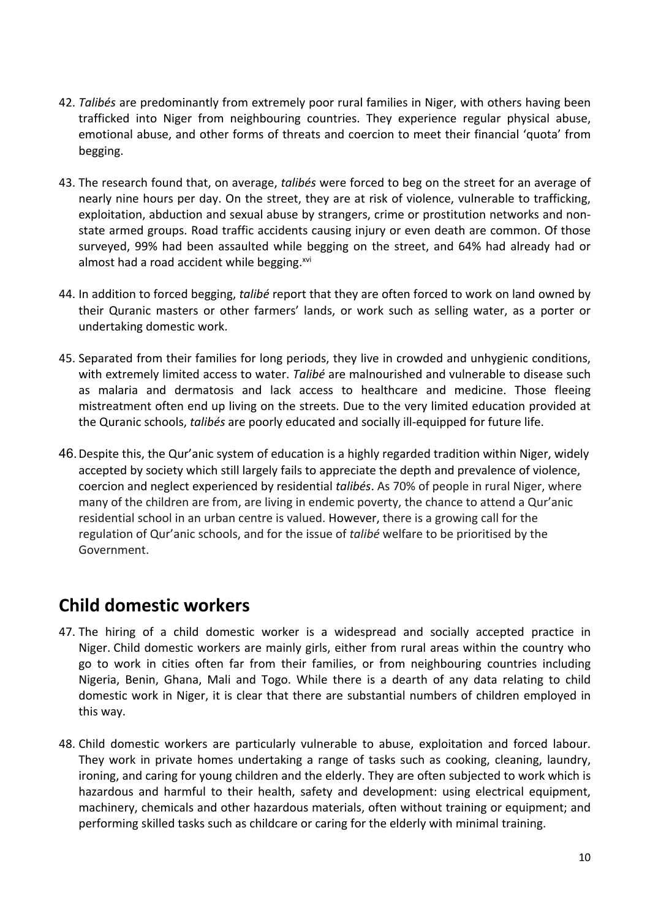- 42. *Talibés* are predominantly from extremely poor rural families in Niger, with others having been trafficked into Niger from neighbouring countries. They experience regular physical abuse, emotional abuse, and other forms of threats and coercion to meet their financial 'quota' from begging.
- 43. The research found that, on average, *talibés* were forced to beg on the street for an average of nearly nine hours per day. On the street, they are at risk of violence, vulnerable to trafficking, exploitation, abduction and sexual abuse by strangers, crime or prostitution networks and nonstate armed groups. Road traffic accidents causing injury or even death are common. Of those surveyed, 99% had been assaulted while begging on the street, and 64% had already had or almost had a road accident while begging.<sup>xv</sup>
- 44. In addition to forced begging, *talibé* report that they are often forced to work on land owned by their Quranic masters or other farmers' lands, or work such as selling water, as <sup>a</sup> porter or undertaking domestic work.
- 45. Separated from their families for long periods, they live in crowded and unhygienic conditions, with extremely limited access to water. *Talibé* are malnourished and vulnerable to disease such as malaria and dermatosis and lack access to healthcare and medicine. Those fleeing mistreatment often end up living on the streets. Due to the very limited education provided at the Quranic schools, *talibés* are poorly educated and socially ill-equipped for future life.
- 46.Despite this, the Qur'anic system of education is <sup>a</sup> highly regarded tradition within Niger, widely accepted by society which still largely fails to appreciate the depth and prevalence of violence, coercion and neglect experienced by residential *talibés*. As 70% of people in rural Niger, where many of the children are from, are living in endemic poverty, the chance to attend <sup>a</sup> Qur'anic residential school in an urban centre is valued. However, there is <sup>a</sup> growing call for the regulation of Qur'anic schools, and for the issue of *talibé* welfare to be prioritised by the Government.

### **Child domestic workers**

- 47. The hiring of <sup>a</sup> child domestic worker is <sup>a</sup> widespread and socially accepted practice in Niger. Child domestic workers are mainly girls, either from rural areas within the country who go to work in cities often far from their families, or from neighbouring countries including Nigeria, Benin, Ghana, Mali and Togo. While there is <sup>a</sup> dearth of any data relating to child domestic work in Niger, it is clear that there are substantial numbers of children employed in this way.
- 48. Child domestic workers are particularly vulnerable to abuse, exploitation and forced labour. They work in private homes undertaking <sup>a</sup> range of tasks such as cooking, cleaning, laundry, ironing, and caring for young children and the elderly. They are often subjected to work which is hazardous and harmful to their health, safety and development: using electrical equipment, machinery, chemicals and other hazardous materials, often without training or equipment; and performing skilled tasks such as childcare or caring for the elderly with minimal training.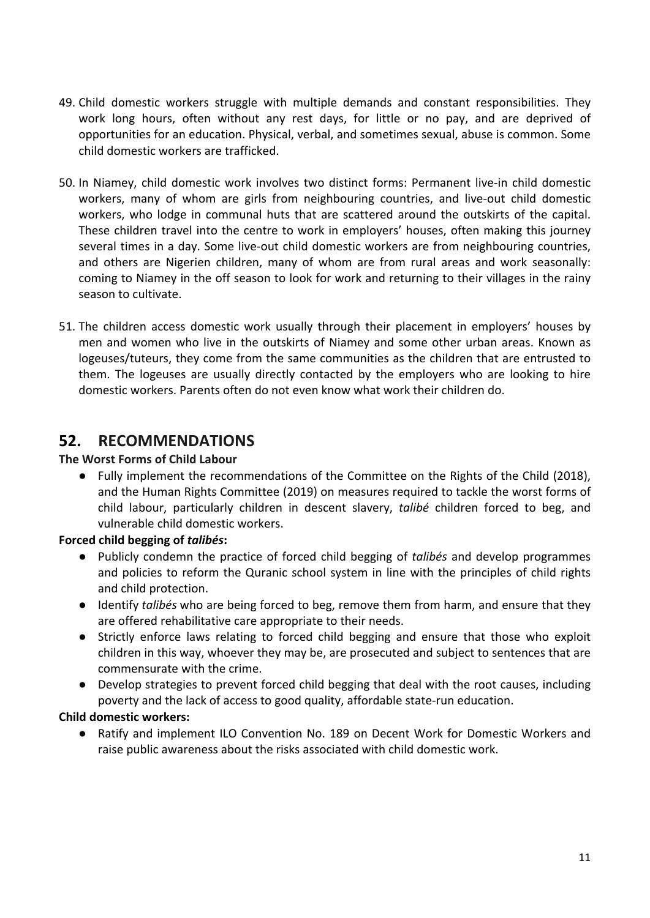- 49. Child domestic workers struggle with multiple demands and constant responsibilities. They work long hours, often without any rest days, for little or no pay, and are deprived of opportunities for an education. Physical, verbal, and sometimes sexual, abuse is common. Some child domestic workers are trafficked.
- 50. In Niamey, child domestic work involves two distinct forms: Permanent live-in child domestic workers, many of whom are girls from neighbouring countries, and live-out child domestic workers, who lodge in communal huts that are scattered around the outskirts of the capital. These children travel into the centre to work in employers' houses, often making this journey several times in <sup>a</sup> day. Some live-out child domestic workers are from neighbouring countries, and others are Nigerien children, many of whom are from rural areas and work seasonally: coming to Niamey in the off season to look for work and returning to their villages in the rainy season to cultivate.
- 51. The children access domestic work usually through their placement in employers' houses by men and women who live in the outskirts of Niamey and some other urban areas. Known as logeuses/tuteurs, they come from the same communities as the children that are entrusted to them. The logeuses are usually directly contacted by the employers who are looking to hire domestic workers. Parents often do not even know what work their children do.

### **52. RECOMMENDATIONS**

#### **The Worst Forms of Child Labour**

● Fully implement the recommendations of the Committee on the Rights of the Child (2018), and the Human Rights Committee (2019) on measures required to tackle the worst forms of child labour, particularly children in descent slavery, *talibé* children forced to beg, and vulnerable child domestic workers.

#### **Forced child begging of** *talibés***:**

- Publicly condemn the practice of forced child begging of *talibés* and develop programmes and policies to reform the Quranic school system in line with the principles of child rights and child protection.
- Identify *talibés* who are being forced to beg, remove them from harm, and ensure that they are offered rehabilitative care appropriate to their needs.
- Strictly enforce laws relating to forced child begging and ensure that those who exploit children in this way, whoever they may be, are prosecuted and subject to sentences that are commensurate with the crime.
- Develop strategies to prevent forced child begging that deal with the root causes, including poverty and the lack of access to good quality, affordable state-run education.

#### **Child domestic workers:**

● Ratify and implement ILO Convention No. 189 on Decent Work for Domestic Workers and raise public awareness about the risks associated with child domestic work.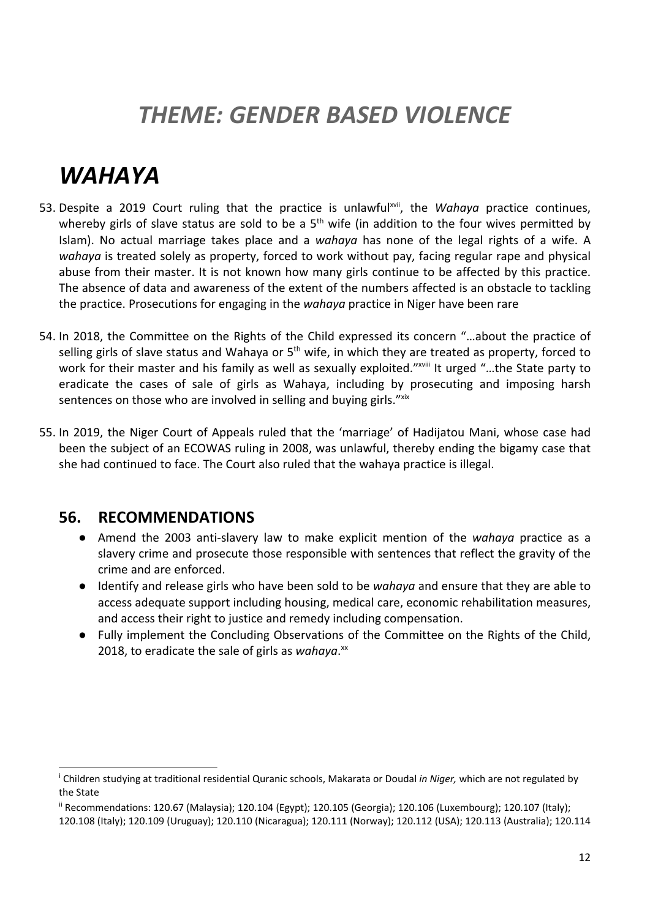## *THEME: GENDER BASED VIOLENCE*

## *WAHAYA*

- 53. Despite a 2019 Court ruling that the practice is unlawful<sup>xvii</sup>, the *Wahaya* practice continues, whereby girls of slave status are sold to be a 5<sup>th</sup> wife (in addition to the four wives permitted by Islam). No actual marriage takes place and <sup>a</sup> *wahaya* has none of the legal rights of <sup>a</sup> wife. A *wahaya* is treated solely as property, forced to work without pay, facing regular rape and physical abuse from their master. It is not known how many girls continue to be affected by this practice. The absence of data and awareness of the extent of the numbers affected is an obstacle to tackling the practice. Prosecutions for engaging in the *wahaya* practice in Niger have been rare
- 54. In 2018, the Committee on the Rights of the Child expressed its concern "…about the practice of selling girls of slave status and Wahaya or 5<sup>th</sup> wife, in which they are treated as property, forced to work for their master and his family as well as sexually exploited."<sup>xviii</sup> It urged "...the State party to eradicate the cases of sale of girls as Wahaya, including by prosecuting and imposing harsh sentences on those who are involved in selling and buying girls."<sup>xix</sup>
- 55. In 2019, the Niger Court of Appeals ruled that the 'marriage' of Hadijatou Mani, whose case had been the subject of an ECOWAS ruling in 2008, was unlawful, thereby ending the bigamy case that she had continued to face. The Court also ruled that the wahaya practice is illegal.

#### **56. RECOMMENDATIONS**

- Amend the 2003 anti-slavery law to make explicit mention of the *wahaya* practice as <sup>a</sup> slavery crime and prosecute those responsible with sentences that reflect the gravity of the crime and are enforced.
- Identify and release girls who have been sold to be *wahaya* and ensure that they are able to access adequate support including housing, medical care, economic rehabilitation measures, and access their right to justice and remedy including compensation.
- Fully implement the Concluding Observations of the Committee on the Rights of the Child, 2018, to eradicate the sale of girls as w*ahaya*.<sup>xx</sup>

i Children studying at traditional residential Quranic schools, Makarata or Doudal *in Niger,* which are not regulated by the State

ii Recommendations: 120.67 (Malaysia); 120.104 (Egypt); 120.105 (Georgia); 120.106 (Luxembourg); 120.107 (Italy);

<sup>120.108</sup> (Italy); 120.109 (Uruguay); 120.110 (Nicaragua); 120.111 (Norway); 120.112 (USA); 120.113 (Australia); 120.114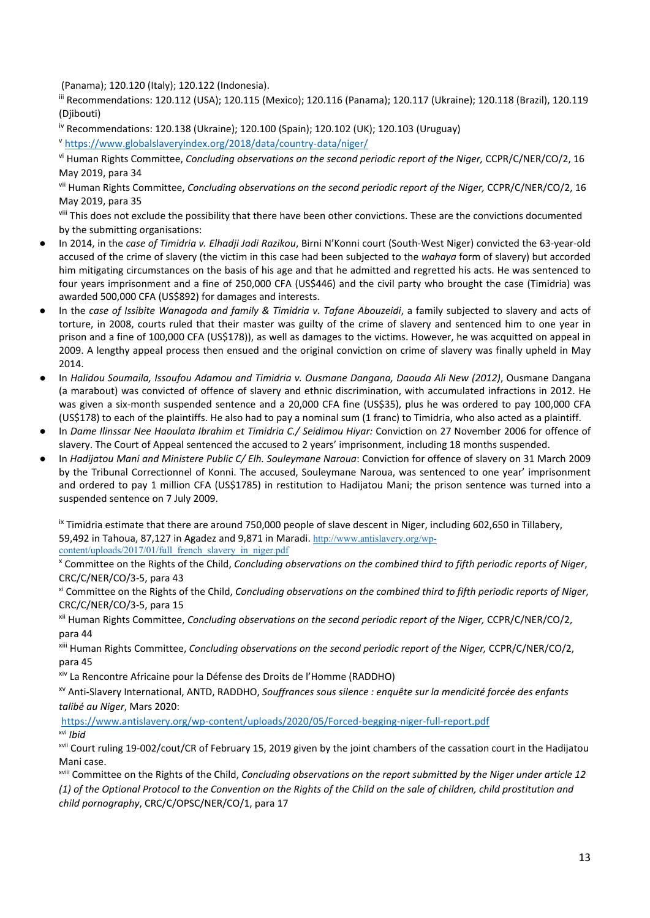(Panama); 120.120 (Italy); 120.122 (Indonesia).

iii Recommendations: 120.112 (USA); 120.115 (Mexico); 120.116 (Panama); 120.117 (Ukraine); 120.118 (Brazil), 120.119 (Djibouti)

iv Recommendations: 120.138 (Ukraine); 120.100 (Spain); 120.102 (UK); 120.103 (Uruguay)

v <https://www.globalslaveryindex.org/2018/data/country-data/niger/>

vi Human Rights Committee, *Concluding observations on the second periodic report of the Niger,* CCPR/C/NER/CO/2, 16 May 2019, para 34

vii Human Rights Committee, *Concluding observations on the second periodic report of the Niger,* CCPR/C/NER/CO/2, 16 May 2019, para 35

<sup>viii</sup> This does not exclude the possibility that there have been other convictions. These are the convictions documented by the submitting organisations:

- ● In 2014, in the *case of Timidria v. Elhadji Jadi Razikou*, Birni N'Konni court (South-West Niger) convicted the 63-year-old accused of the crime of slavery (the victim in this case had been subjected to the *wahaya* form of slavery) but accorded him mitigating circumstances on the basis of his age and that he admitted and regretted his acts. He was sentenced to four years imprisonment and <sup>a</sup> fine of 250,000 CFA (US\$446) and the civil party who brought the case (Timidria) was awarded 500,000 CFA (US\$892) for damages and interests.
- ● In the *case of Issibite Wanagoda and family & Timidria v. Tafane Abouzeidi*, <sup>a</sup> family subjected to slavery and acts of torture, in 2008, courts ruled that their master was guilty of the crime of slavery and sentenced him to one year in prison and <sup>a</sup> fine of 100,000 CFA (US\$178)), as well as damages to the victims. However, he was acquitted on appeal in 2009. A lengthy appeal process then ensued and the original conviction on crime of slavery was finally upheld in May 2014.
- ● In *Halidou Soumaila, Issoufou Adamou and Timidria v. Ousmane Dangana, Daouda Ali New (2012)*, Ousmane Dangana (a marabout) was convicted of offence of slavery and ethnic discrimination, with accumulated infractions in 2012. He was given <sup>a</sup> six-month suspended sentence and <sup>a</sup> 20,000 CFA fine (US\$35), plus he was ordered to pay 100,000 CFA (US\$178) to each of the plaintiffs. He also had to pay <sup>a</sup> nominal sum (1 franc) to Timidria, who also acted as <sup>a</sup> plaintiff.
- ● In *Dame Ilinssar Nee Haoulata Ibrahim et Timidria C./ Seidimou Hiyar:* Conviction on 27 November 2006 for offence of slavery. The Court of Appeal sentenced the accused to 2 years' imprisonment, including 18 months suspended.
- ● In *Hadijatou Mani and Ministere Public C/ Elh. Souleymane Naroua*: Conviction for offence of slavery on 31 March 2009 by the Tribunal Correctionnel of Konni. The accused, Souleymane Naroua, was sentenced to one year' imprisonment and ordered to pay <sup>1</sup> million CFA (US\$1785) in restitution to Hadijatou Mani; the prison sentence was turned into <sup>a</sup> suspended sentence on 7 July 2009.

<sup>ix</sup> Timidria estimate that there are around 750,000 people of slave descent in Niger, including 602,650 in Tillabery, 59,492 in Tahoua, 87,127 in Agadez and 9,871 in Maradi. [http://www.antislavery.org/wp](http://www.antislavery.org/wp-content/uploads/2017/01/full_french_slavery_in_niger.pdf)[content/uploads/2017/01/full\\_french\\_slavery\\_in\\_niger.pdf](http://www.antislavery.org/wp-content/uploads/2017/01/full_french_slavery_in_niger.pdf)

x Committee on the Rights of the Child, *Concluding observations on the combined third to fifth periodic reports of Niger*, CRC/C/NER/CO/3-5, para 43

xi Committee on the Rights of the Child, *Concluding observations on the combined third to fifth periodic reports of Niger*, CRC/C/NER/CO/3-5, para 15

xii Human Rights Committee, *Concluding observations on the second periodic report of the Niger,* CCPR/C/NER/CO/2, para 44

xiii Human Rights Committee, *Concluding observations on the second periodic report of the Niger,* CCPR/C/NER/CO/2, para 45

xiv La Rencontre Africaine pour la Défense des Droits de l'Homme (RADDHO)

xv Anti-Slavery International, ANTD, RADDHO, *Souffrances sous silence : enquête sur la mendicité forcée des enfants talibé au Niger*, Mars 2020:

<https://www.antislavery.org/wp-content/uploads/2020/05/Forced-begging-niger-full-report.pdf> xvi *Ibid*

<sup>xvii</sup> Court ruling 19-002/cout/CR of February 15, 2019 given by the joint chambers of the cassation court in the Hadijatou Mani case.

xviii Committee on the Rights of the Child, *Concluding observations on the report submitted by the Niger under article 12* (1) of the Optional Protocol to the Convention on the Rights of the Child on the sale of children, child prostitution and *child pornography*, CRC/C/OPSC/NER/CO/1, para 17